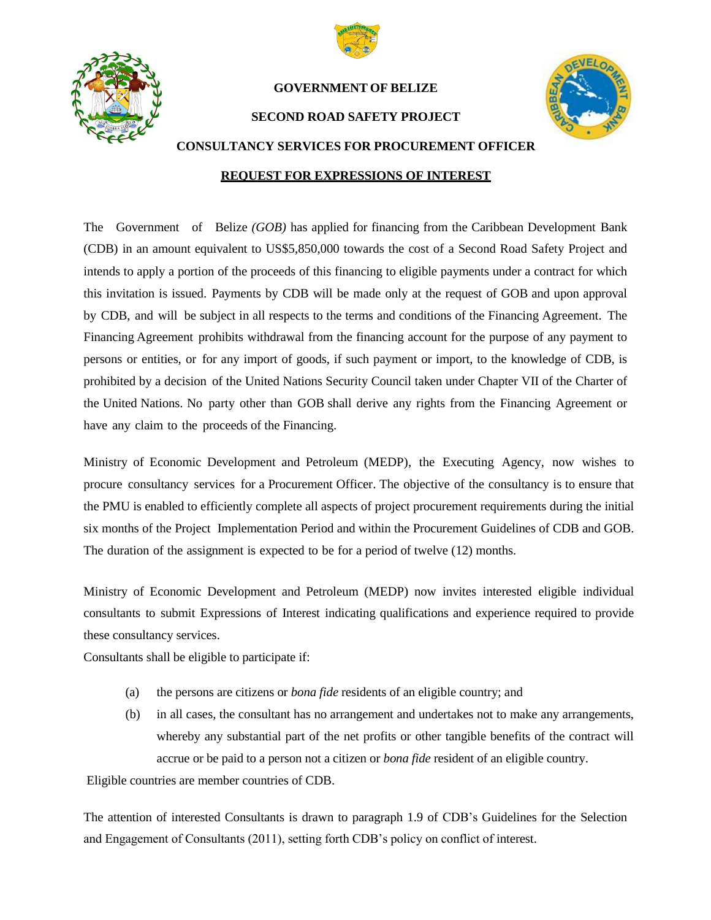



### **GOVERNMENT OF BELIZE**

**SECOND ROAD SAFETY PROJECT**



# **CONSULTANCY SERVICES FOR PROCUREMENT OFFICER**

## **REQUEST FOR EXPRESSIONS OF INTEREST**

The Government of Belize *(GOB)* has applied for financing from the Caribbean Development Bank (CDB) in an amount equivalent to US\$5,850,000 towards the cost of a Second Road Safety Project and intends to apply a portion of the proceeds of this financing to eligible payments under a contract for which this invitation is issued. Payments by CDB will be made only at the request of GOB and upon approval by CDB, and will be subject in all respects to the terms and conditions of the Financing Agreement. The Financing Agreement prohibits withdrawal from the financing account for the purpose of any payment to persons or entities, or for any import of goods, if such payment or import, to the knowledge of CDB, is prohibited by a decision of the United Nations Security Council taken under Chapter VII of the Charter of the United Nations. No party other than GOB shall derive any rights from the Financing Agreement or have any claim to the proceeds of the Financing.

Ministry of Economic Development and Petroleum (MEDP), the Executing Agency, now wishes to procure consultancy services for a Procurement Officer. The objective of the consultancy is to ensure that the PMU is enabled to efficiently complete all aspects of project procurement requirements during the initial six months of the Project Implementation Period and within the Procurement Guidelines of CDB and GOB. The duration of the assignment is expected to be for a period of twelve (12) months.

Ministry of Economic Development and Petroleum (MEDP) now invites interested eligible individual consultants to submit Expressions of Interest indicating qualifications and experience required to provide these consultancy services.

Consultants shall be eligible to participate if:

- (a) the persons are citizens or *bona fide* residents of an eligible country; and
- (b) in all cases, the consultant has no arrangement and undertakes not to make any arrangements, whereby any substantial part of the net profits or other tangible benefits of the contract will accrue or be paid to a person not a citizen or *bona fide* resident of an eligible country.

Eligible countries are member countries of CDB.

The attention of interested Consultants is drawn to paragraph 1.9 of CDB's Guidelines for the Selection and Engagement of Consultants (2011), setting forth CDB's policy on conflict of interest.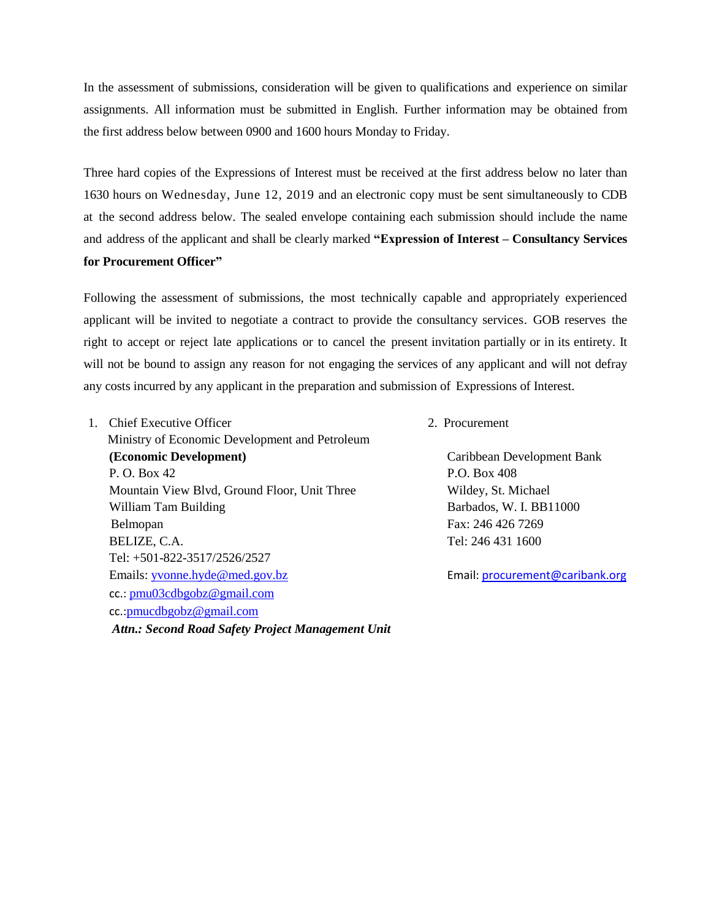In the assessment of submissions, consideration will be given to qualifications and experience on similar assignments. All information must be submitted in English. Further information may be obtained from the first address below between 0900 and 1600 hours Monday to Friday.

Three hard copies of the Expressions of Interest must be received at the first address below no later than 1630 hours on Wednesday, June 12, 2019 and an electronic copy must be sent simultaneously to CDB at the second address below. The sealed envelope containing each submission should include the name and address of the applicant and shall be clearly marked **"Expression of Interest – Consultancy Services for Procurement Officer"**

Following the assessment of submissions, the most technically capable and appropriately experienced applicant will be invited to negotiate a contract to provide the consultancy services. GOB reserves the right to accept or reject late applications or to cancel the present invitation partially or in its entirety. It will not be bound to assign any reason for not engaging the services of any applicant and will not defray any costs incurred by any applicant in the preparation and submission of Expressions of Interest.

1. Chief Executive Officer 2. Procurement

Ministry of Economic Development and Petroleum **(Economic Development)** Caribbean Development Bank P. O. Box 42 P.O. Box 408 Mountain View Blvd, Ground Floor, Unit Three Wildey, St. Michael William Tam Building **Barbados**, W. I. BB11000 Belmopan Fax: 246 426 7269 BELIZE, C.A. Tel: 246 431 1600 Tel: +501-822-3517/2526/2527 Emails: [yvonne.hyde@med.gov.bz](mailto:ceo@med.gov.bz) Email: [procurement@caribank.org](file:///E:/Second%20Road%20Safety%20Project/RSP%202%202019/CDB/SPNs/CDB%20Feedback/procurement@caribank.org) cc.: [pmu03cdbgobz@gmail.com](mailto:pmu03cdbgobz@gmail.com) cc.:[pmucdbgobz@gmail.com](mailto:pmucdbgobz@gmail.com) *Attn.: Second Road Safety Project Management Unit*